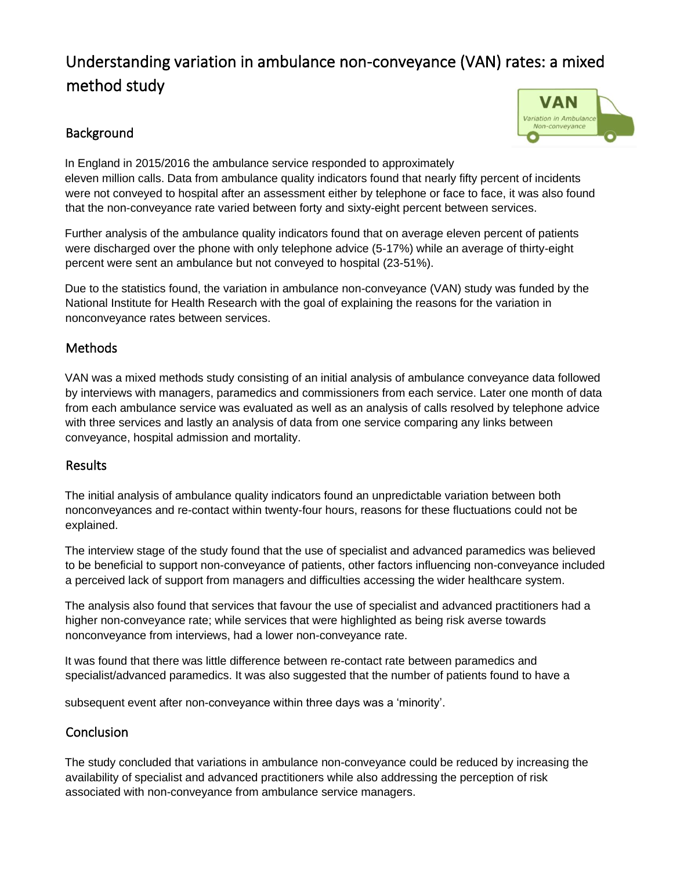# Understanding variation in ambulance non-conveyance (VAN) rates: a mixed method study

# **Background**



In England in 2015/2016 the ambulance service responded to approximately eleven million calls. Data from ambulance quality indicators found that nearly fifty percent of incidents were not conveyed to hospital after an assessment either by telephone or face to face, it was also found that the non-conveyance rate varied between forty and sixty-eight percent between services.

Further analysis of the ambulance quality indicators found that on average eleven percent of patients were discharged over the phone with only telephone advice (5-17%) while an average of thirty-eight percent were sent an ambulance but not conveyed to hospital (23-51%).

Due to the statistics found, the variation in ambulance non-conveyance (VAN) study was funded by the National Institute for Health Research with the goal of explaining the reasons for the variation in nonconveyance rates between services.

#### **Methods**

VAN was a mixed methods study consisting of an initial analysis of ambulance conveyance data followed by interviews with managers, paramedics and commissioners from each service. Later one month of data from each ambulance service was evaluated as well as an analysis of calls resolved by telephone advice with three services and lastly an analysis of data from one service comparing any links between conveyance, hospital admission and mortality.

#### Results

The initial analysis of ambulance quality indicators found an unpredictable variation between both nonconveyances and re-contact within twenty-four hours, reasons for these fluctuations could not be explained.

The interview stage of the study found that the use of specialist and advanced paramedics was believed to be beneficial to support non-conveyance of patients, other factors influencing non-conveyance included a perceived lack of support from managers and difficulties accessing the wider healthcare system.

The analysis also found that services that favour the use of specialist and advanced practitioners had a higher non-conveyance rate; while services that were highlighted as being risk averse towards nonconveyance from interviews, had a lower non-conveyance rate.

It was found that there was little difference between re-contact rate between paramedics and specialist/advanced paramedics. It was also suggested that the number of patients found to have a

subsequent event after non-conveyance within three days was a 'minority'.

## **Conclusion**

The study concluded that variations in ambulance non-conveyance could be reduced by increasing the availability of specialist and advanced practitioners while also addressing the perception of risk associated with non-conveyance from ambulance service managers.